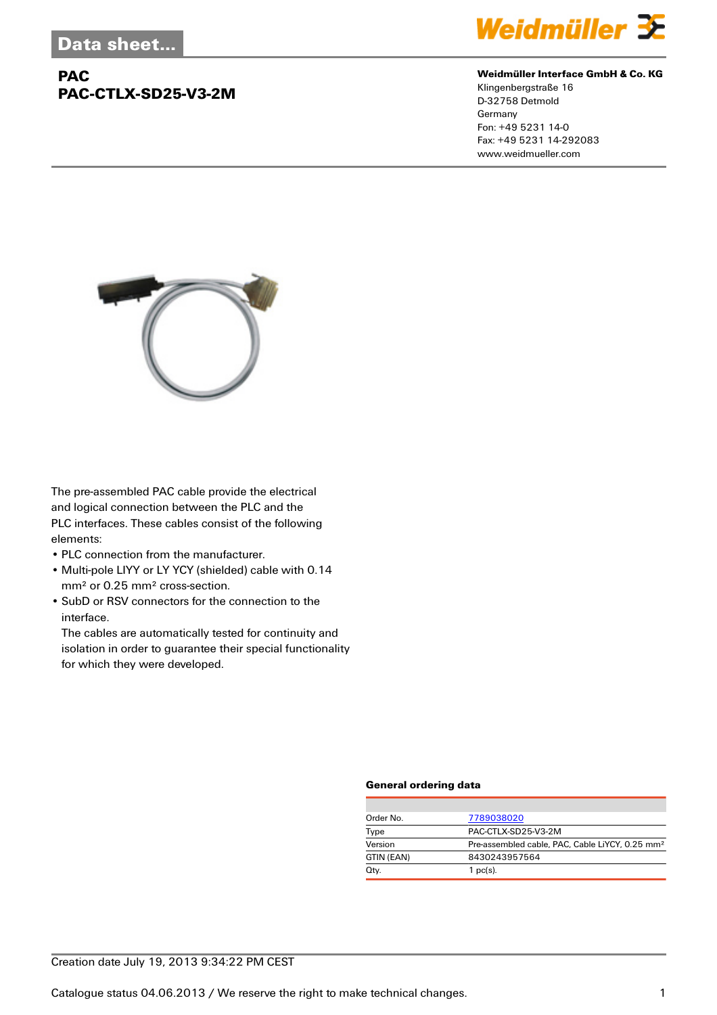## **PAC PAC-CTLX-SD25-V3-2M**



#### **Weidmüller Interface GmbH & Co. KG**

Klingenbergstraße 16 D-32758 Detmold Germany Fon: +49 5231 14-0 Fax: +49 5231 14-292083 www.weidmueller.com



The pre-assembled PAC cable provide the electrical and logical connection between the PLC and the PLC interfaces. These cables consist of the following elements:

- PLC connection from the manufacturer.
- Multi-pole LIYY or LY YCY (shielded) cable with 0.14 mm² or 0.25 mm² cross-section.
- SubD or RSV connectors for the connection to the interface.

The cables are automatically tested for continuity and isolation in order to guarantee their special functionality for which they were developed.

#### **General ordering data**

| Order No.  | 7789038020                                                  |  |  |
|------------|-------------------------------------------------------------|--|--|
| Type       | PAC-CTLX-SD25-V3-2M                                         |  |  |
| Version    | Pre-assembled cable, PAC, Cable LiYCY, 0.25 mm <sup>2</sup> |  |  |
| GTIN (EAN) | 8430243957564                                               |  |  |
| Qty.       | 1 $pc(s)$ .                                                 |  |  |